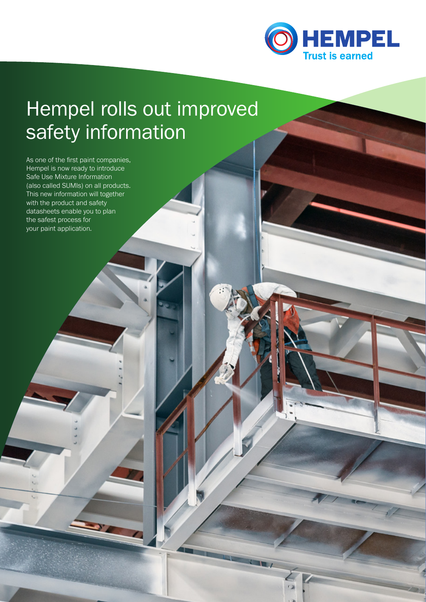

# Hempel rolls out improved safety information

As one of the first paint companies, Hempel is now ready to introduce Safe Use Mixture Information (also called SUMIs) on all products. This new information will together with the product and safety datasheets enable you to plan the safest process for your paint application.